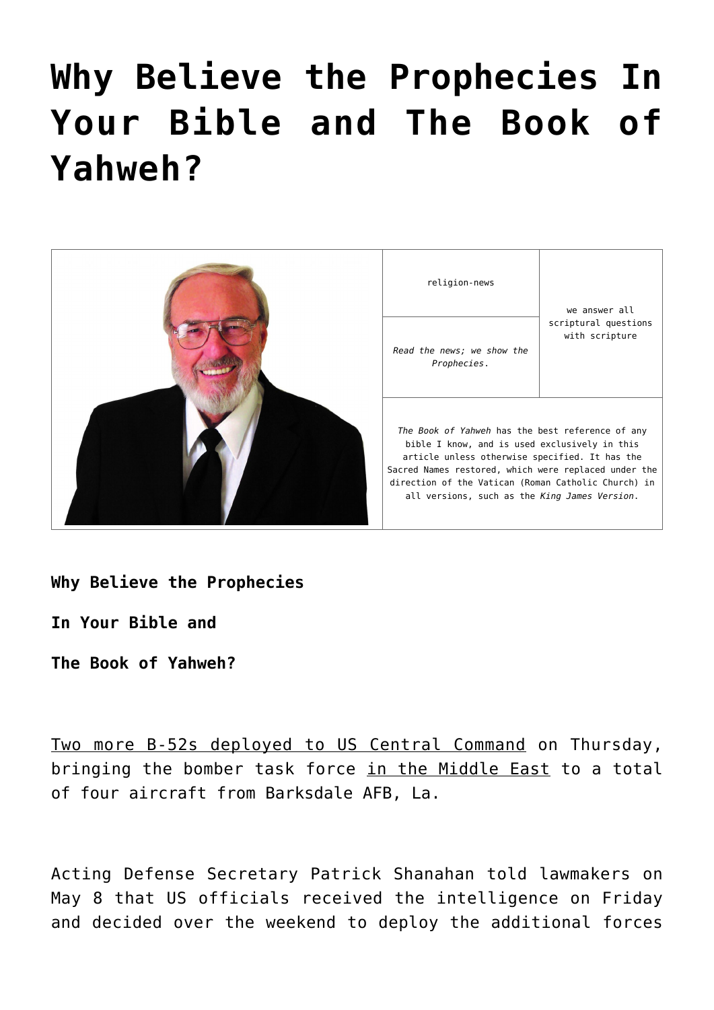# **[Why Believe the Prophecies In](https://yahwehsbranch.com/why-believe-the-prophecies-in-your-bible-and-the-book-of-yahweh/) [Your Bible and The Book of](https://yahwehsbranch.com/why-believe-the-prophecies-in-your-bible-and-the-book-of-yahweh/) [Yahweh?](https://yahwehsbranch.com/why-believe-the-prophecies-in-your-bible-and-the-book-of-yahweh/)**



**Why Believe the Prophecies**

**In Your Bible and**

**The Book of Yahweh?**

Two more B-52s deployed to US Central Command on Thursday, bringing the bomber task force in the Middle East to a total of four aircraft from Barksdale AFB, La.

Acting Defense Secretary Patrick Shanahan told lawmakers on May 8 that US officials received the intelligence on Friday and decided over the weekend to deploy the additional forces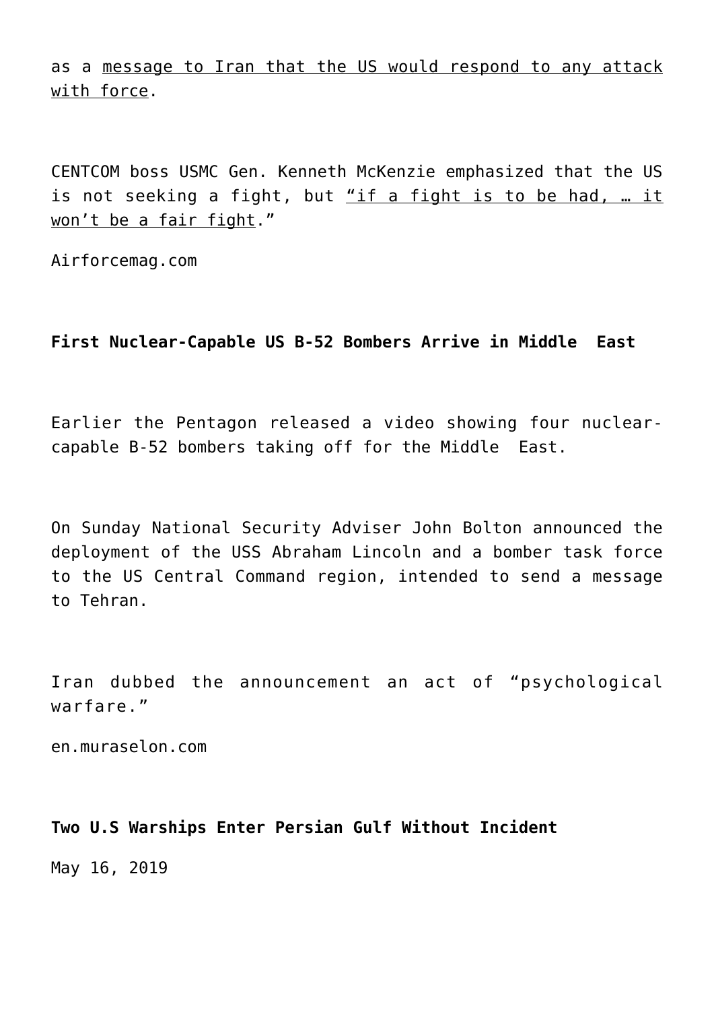as a message to Iran that the US would respond to any attack with force.

CENTCOM boss USMC Gen. Kenneth McKenzie emphasized that the US is not seeking a fight, but "if a fight is to be had, … it won't be a fair fight."

Airforcemag.com

# **First Nuclear-Capable US B-52 Bombers Arrive in Middle East**

Earlier the Pentagon released a video showing four nuclearcapable B-52 bombers taking off for the Middle East.

On Sunday National Security Adviser John Bolton announced the deployment of the USS Abraham Lincoln and a bomber task force to the US Central Command region, intended to send a message to Tehran.

Iran dubbed the announcement an act of "psychological warfare."

en.muraselon.com

## **Two U.S Warships Enter Persian Gulf Without Incident**

May 16, 2019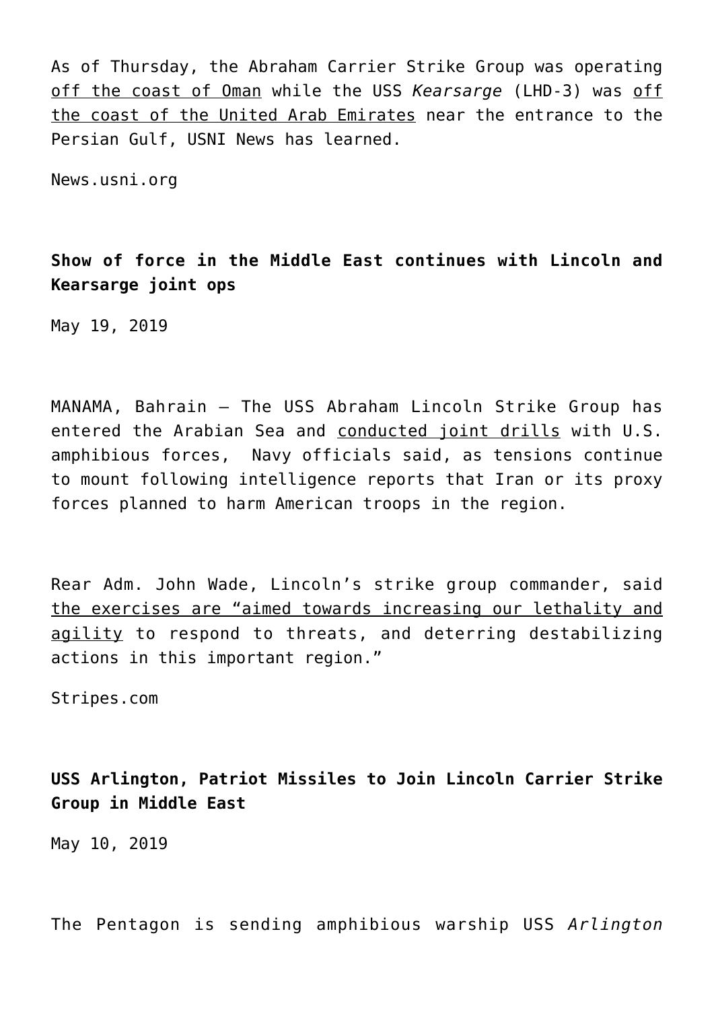As of Thursday, the Abraham Carrier Strike Group was operating off the coast of Oman while the USS *Kearsarge* (LHD-3) was off the coast of the United Arab Emirates near the entrance to the Persian Gulf, USNI News has learned.

News.usni.org

**Show of force in the Middle East continues with Lincoln and Kearsarge joint ops**

May 19, 2019

MANAMA, Bahrain — The USS Abraham Lincoln Strike Group has entered the Arabian Sea and conducted joint drills with U.S. amphibious forces, Navy officials said, as tensions continue to mount following intelligence reports that Iran or its proxy forces planned to harm American troops in the region.

Rear Adm. John Wade, Lincoln's strike group commander, said the exercises are "aimed towards increasing our lethality and agility to respond to threats, and deterring destabilizing actions in this important region."

Stripes.com

**USS Arlington, Patriot Missiles to Join Lincoln Carrier Strike Group in Middle East**

May 10, 2019

The Pentagon is sending amphibious warship USS *Arlington*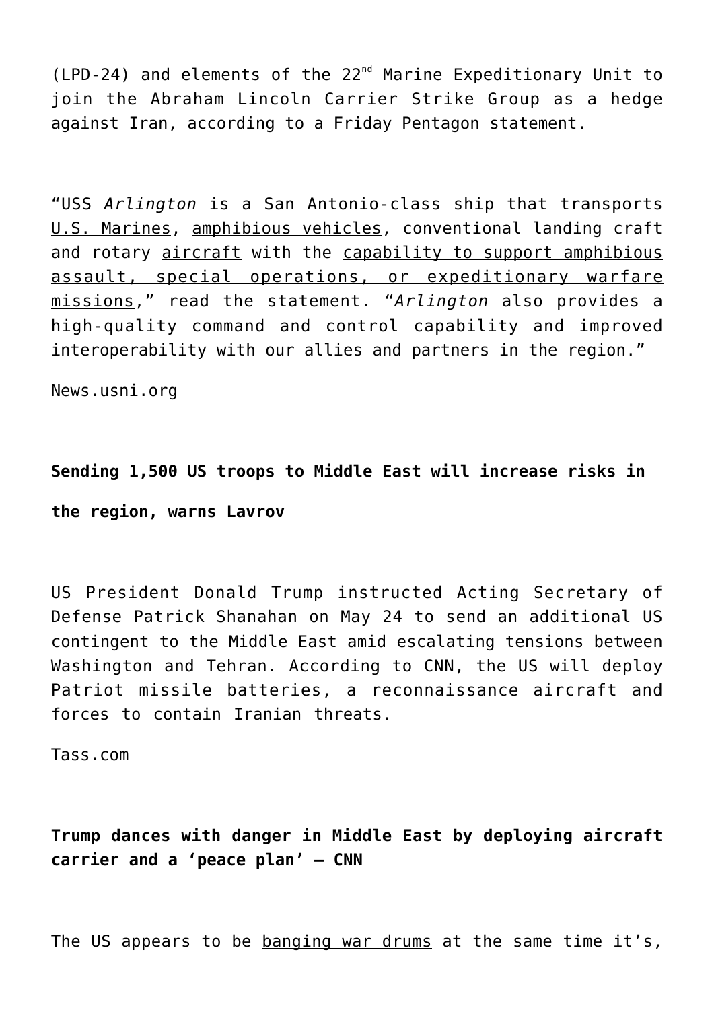(LPD-24) and elements of the 22nd Marine Expeditionary Unit to join the Abraham Lincoln Carrier Strike Group as a hedge against Iran, according to a Friday Pentagon statement.

"USS *Arlington* is a San Antonio-class ship that transports U.S. Marines, amphibious vehicles, conventional landing craft and rotary aircraft with the capability to support amphibious assault, special operations, or expeditionary warfare missions," read the statement. "*Arlington* also provides a high-quality command and control capability and improved interoperability with our allies and partners in the region."

News.usni.org

# **Sending 1,500 US troops to Middle East will increase risks in the region, warns Lavrov**

US President Donald Trump instructed Acting Secretary of Defense Patrick Shanahan on May 24 to send an additional US contingent to the Middle East amid escalating tensions between Washington and Tehran. According to CNN, the US will deploy Patriot missile batteries, a reconnaissance aircraft and forces to contain Iranian threats.

Tass.com

# **Trump dances with danger in Middle East by deploying aircraft carrier and a 'peace plan' – CNN**

The US appears to be banging war drums at the same time it's,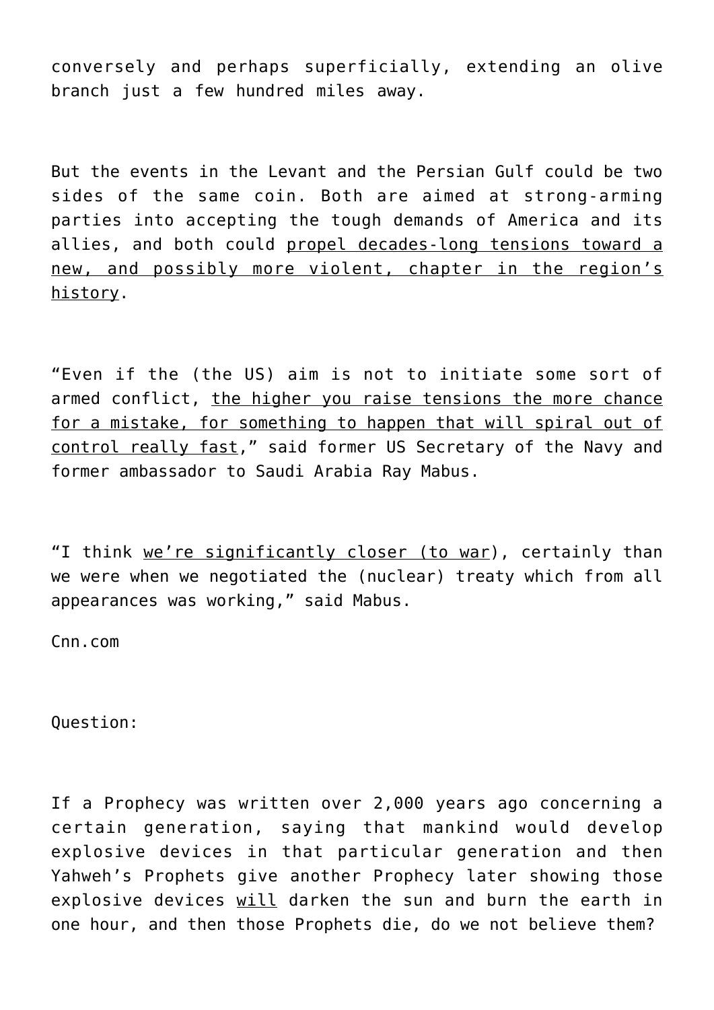conversely and perhaps superficially, extending an olive branch just a few hundred miles away.

But the events in the Levant and the Persian Gulf could be two sides of the same coin. Both are aimed at strong-arming parties into accepting the tough demands of America and its allies, and both could propel decades-long tensions toward a new, and possibly more violent, chapter in the region's history.

"Even if the (the US) aim is not to initiate some sort of armed conflict, the higher you raise tensions the more chance for a mistake, for something to happen that will spiral out of control really fast," said former US Secretary of the Navy and former ambassador to Saudi Arabia Ray Mabus.

"I think we're significantly closer (to war), certainly than we were when we negotiated the (nuclear) treaty which from all appearances was working," said Mabus.

Cnn.com

Question:

If a Prophecy was written over 2,000 years ago concerning a certain generation, saying that mankind would develop explosive devices in that particular generation and then Yahweh's Prophets give another Prophecy later showing those explosive devices will darken the sun and burn the earth in one hour, and then those Prophets die, do we not believe them?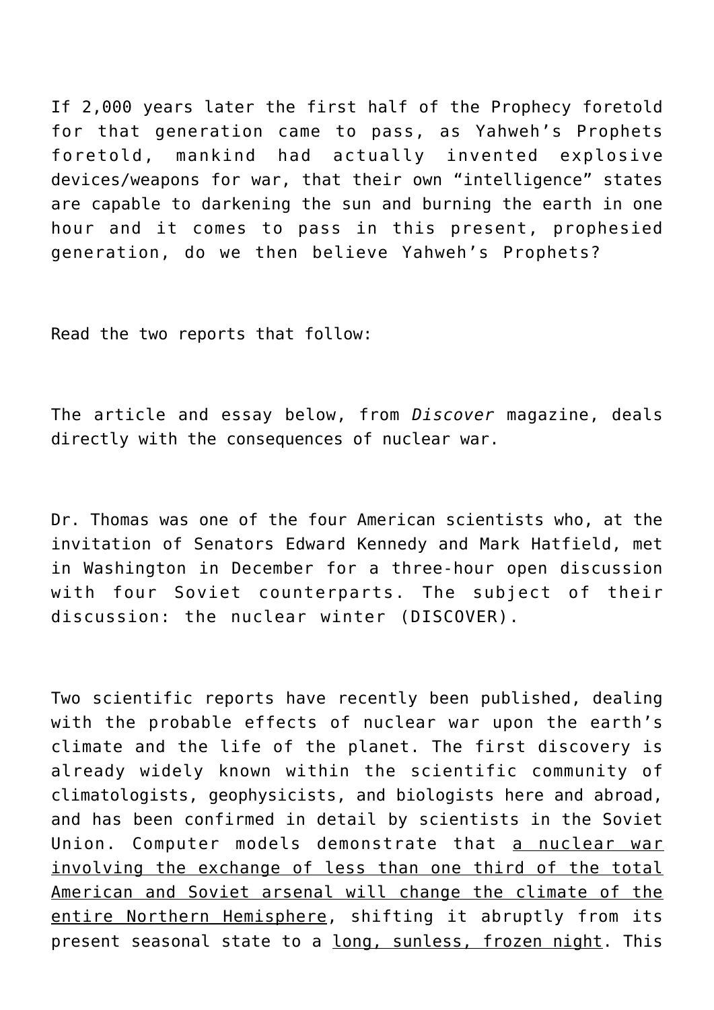If 2,000 years later the first half of the Prophecy foretold for that generation came to pass, as Yahweh's Prophets foretold, mankind had actually invented explosive

devices/weapons for war, that their own "intelligence" states are capable to darkening the sun and burning the earth in one hour and it comes to pass in this present, prophesied generation, do we then believe Yahweh's Prophets?

Read the two reports that follow:

The article and essay below, from *Discover* magazine, deals directly with the consequences of nuclear war.

Dr. Thomas was one of the four American scientists who, at the invitation of Senators Edward Kennedy and Mark Hatfield, met in Washington in December for a three-hour open discussion with four Soviet counterparts. The subject of their discussion: the nuclear winter (DISCOVER).

Two scientific reports have recently been published, dealing with the probable effects of nuclear war upon the earth's climate and the life of the planet. The first discovery is already widely known within the scientific community of climatologists, geophysicists, and biologists here and abroad, and has been confirmed in detail by scientists in the Soviet Union. Computer models demonstrate that a nuclear war involving the exchange of less than one third of the total American and Soviet arsenal will change the climate of the entire Northern Hemisphere, shifting it abruptly from its present seasonal state to a long, sunless, frozen night. This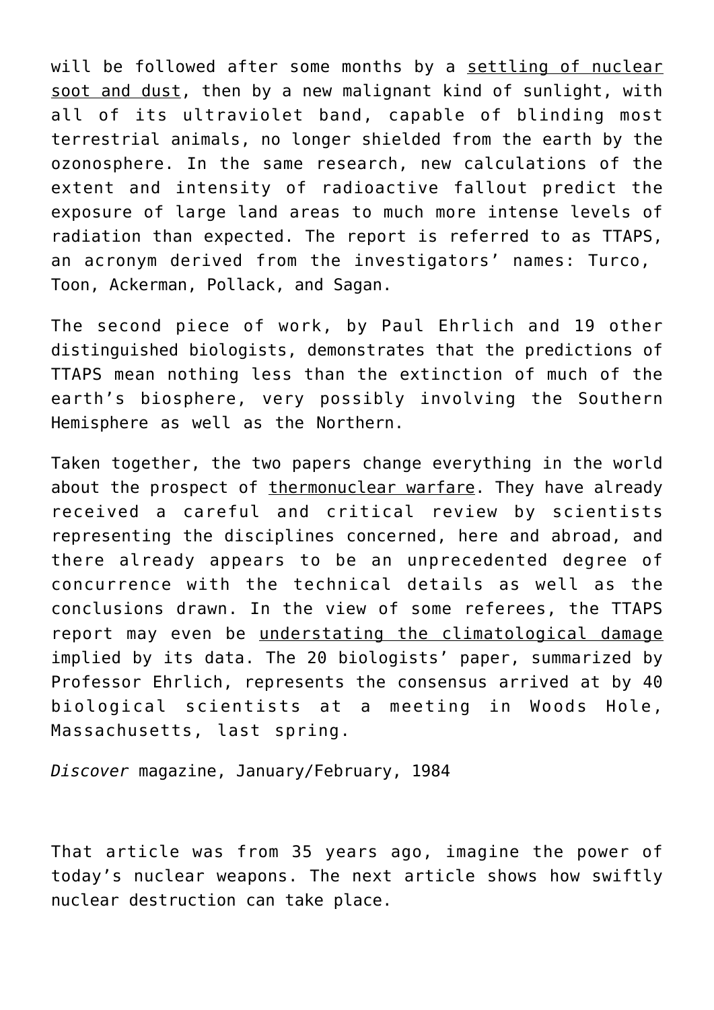will be followed after some months by a settling of nuclear soot and dust, then by a new malignant kind of sunlight, with all of its ultraviolet band, capable of blinding most terrestrial animals, no longer shielded from the earth by the ozonosphere. In the same research, new calculations of the extent and intensity of radioactive fallout predict the exposure of large land areas to much more intense levels of radiation than expected. The report is referred to as TTAPS, an acronym derived from the investigators' names: Turco, Toon, Ackerman, Pollack, and Sagan.

The second piece of work, by Paul Ehrlich and 19 other distinguished biologists, demonstrates that the predictions of TTAPS mean nothing less than the extinction of much of the earth's biosphere, very possibly involving the Southern Hemisphere as well as the Northern.

Taken together, the two papers change everything in the world about the prospect of thermonuclear warfare. They have already received a careful and critical review by scientists representing the disciplines concerned, here and abroad, and there already appears to be an unprecedented degree of concurrence with the technical details as well as the conclusions drawn. In the view of some referees, the TTAPS report may even be understating the climatological damage implied by its data. The 20 biologists' paper, summarized by Professor Ehrlich, represents the consensus arrived at by 40 biological scientists at a meeting in Woods Hole, Massachusetts, last spring.

*Discover* magazine, January/February, 1984

That article was from 35 years ago, imagine the power of today's nuclear weapons. The next article shows how swiftly nuclear destruction can take place.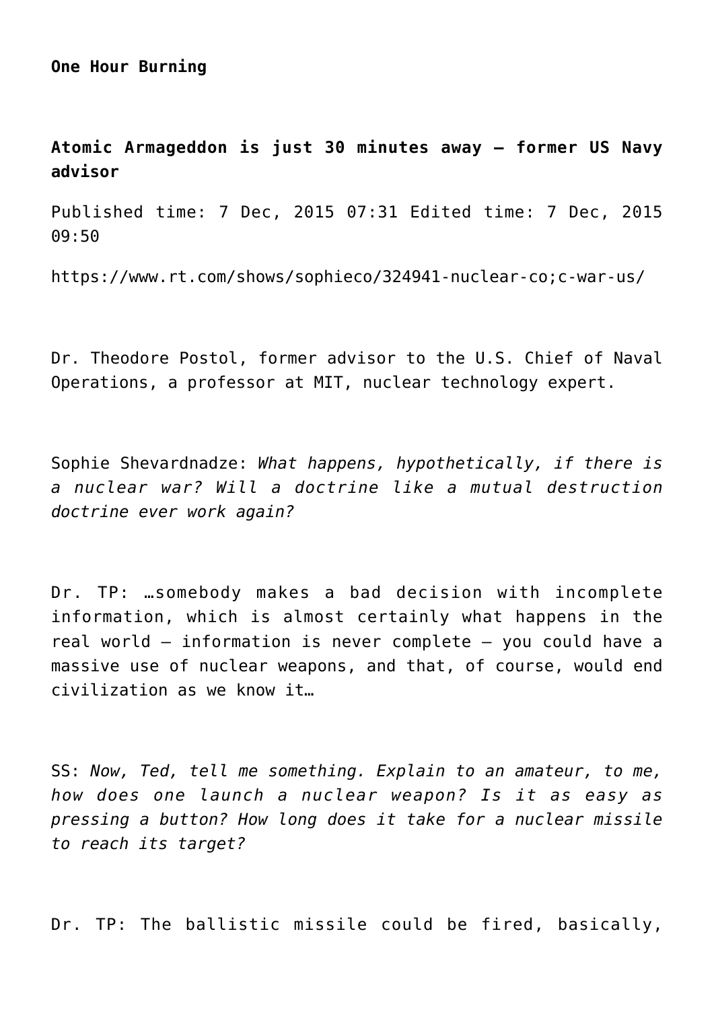**One Hour Burning**

**Atomic Armageddon is just 30 minutes away – former US Navy advisor**

Published time: 7 Dec, 2015 07:31 Edited time: 7 Dec, 2015 09:50

https://www.rt.com/shows/sophieco/324941-nuclear-co;c-war-us/

Dr. Theodore Postol, former advisor to the U.S. Chief of Naval Operations, a professor at MIT, nuclear technology expert.

Sophie Shevardnadze: *What happens, hypothetically, if there is a nuclear war? Will a doctrine like a mutual destruction doctrine ever work again?*

Dr. TP: …somebody makes a bad decision with incomplete information, which is almost certainly what happens in the real world – information is never complete – you could have a massive use of nuclear weapons, and that, of course, would end civilization as we know it…

SS: *Now, Ted, tell me something. Explain to an amateur, to me, how does one launch a nuclear weapon? Is it as easy as pressing a button? How long does it take for a nuclear missile to reach its target?*

Dr. TP: The ballistic missile could be fired, basically,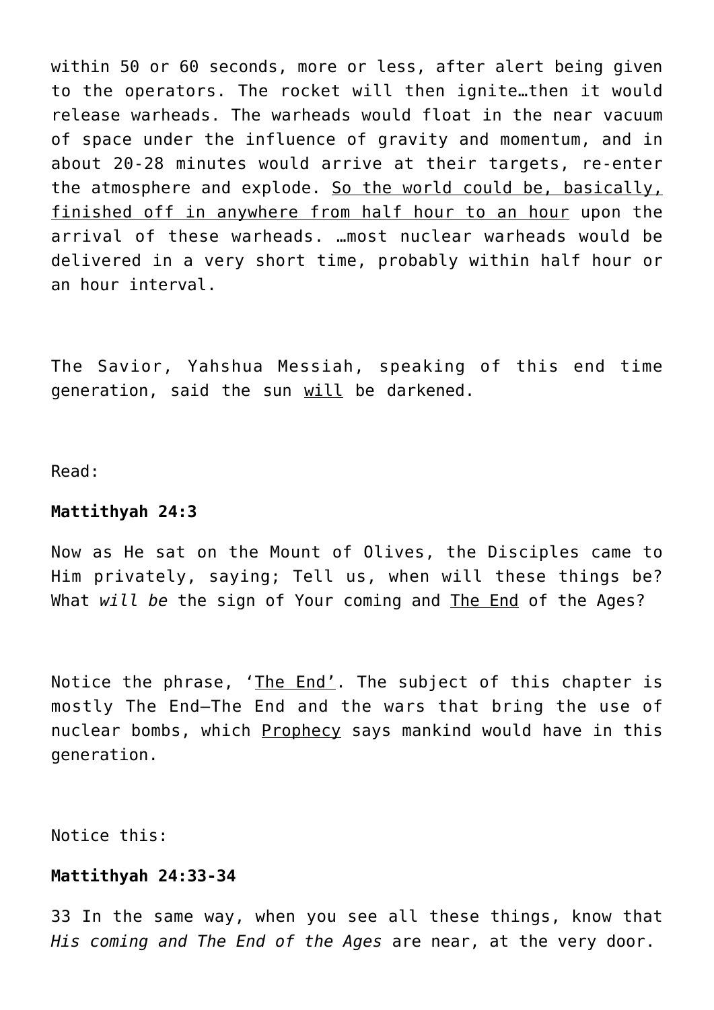within 50 or 60 seconds, more or less, after alert being given to the operators. The rocket will then ignite…then it would release warheads. The warheads would float in the near vacuum of space under the influence of gravity and momentum, and in about 20-28 minutes would arrive at their targets, re-enter the atmosphere and explode. So the world could be, basically, finished off in anywhere from half hour to an hour upon the arrival of these warheads. …most nuclear warheads would be delivered in a very short time, probably within half hour or an hour interval.

The Savior, Yahshua Messiah, speaking of this end time generation, said the sun will be darkened.

Read:

#### **Mattithyah 24:3**

Now as He sat on the Mount of Olives, the Disciples came to Him privately, saying; Tell us, when will these things be? What *will be* the sign of Your coming and The End of the Ages?

Notice the phrase, 'The End'. The subject of this chapter is mostly The End—The End and the wars that bring the use of nuclear bombs, which Prophecy says mankind would have in this generation.

Notice this:

#### **Mattithyah 24:33-34**

33 In the same way, when you see all these things, know that *His coming and The End of the Ages* are near, at the very door.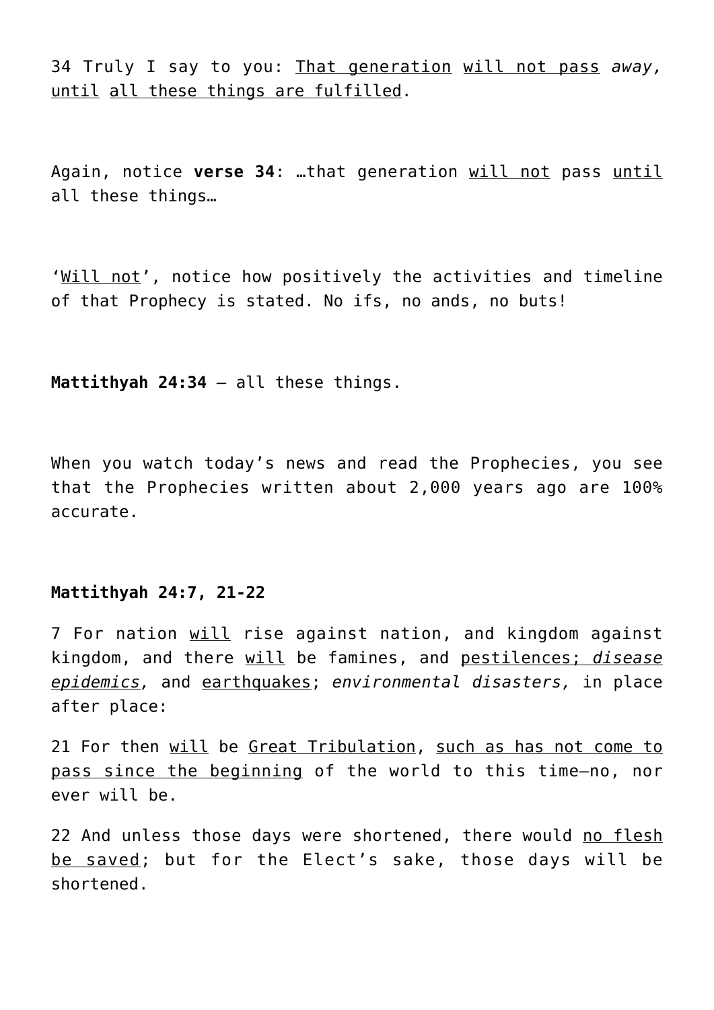34 Truly I say to you: That generation will not pass *away,* until all these things are fulfilled.

Again, notice **verse 34**: …that generation will not pass until all these things…

'Will not', notice how positively the activities and timeline of that Prophecy is stated. No ifs, no ands, no buts!

**Mattithyah 24:34** – all these things.

When you watch today's news and read the Prophecies, you see that the Prophecies written about 2,000 years ago are 100% accurate.

# **Mattithyah 24:7, 21-22**

7 For nation will rise against nation, and kingdom against kingdom, and there will be famines, and pestilences; *disease epidemics,* and earthquakes; *environmental disasters,* in place after place:

21 For then will be Great Tribulation, such as has not come to pass since the beginning of the world to this time—no, nor ever will be.

22 And unless those days were shortened, there would no flesh be saved; but for the Elect's sake, those days will be shortened.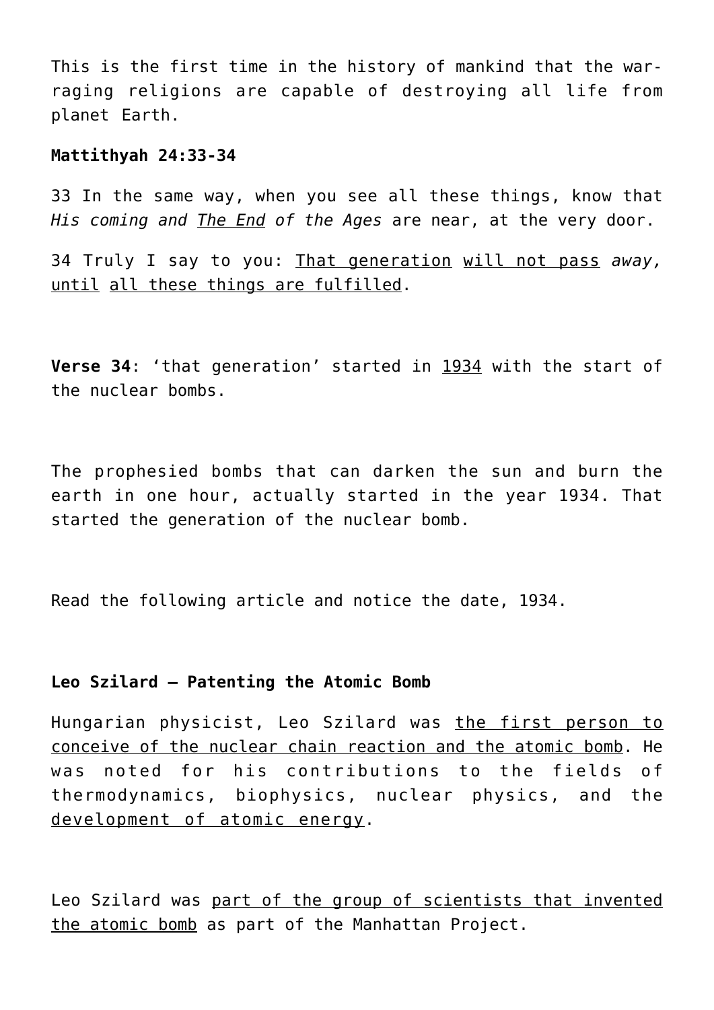This is the first time in the history of mankind that the warraging religions are capable of destroying all life from planet Earth.

#### **Mattithyah 24:33-34**

33 In the same way, when you see all these things, know that *His coming and The End of the Ages* are near, at the very door.

34 Truly I say to you: That generation will not pass *away,* until all these things are fulfilled.

**Verse 34**: 'that generation' started in 1934 with the start of the nuclear bombs.

The prophesied bombs that can darken the sun and burn the earth in one hour, actually started in the year 1934. That started the generation of the nuclear bomb.

Read the following article and notice the date, 1934.

#### **Leo Szilard – Patenting the Atomic Bomb**

Hungarian physicist, Leo Szilard was the first person to conceive of the nuclear chain reaction and the atomic bomb. He was noted for his contributions to the fields of thermodynamics, biophysics, nuclear physics, and the development of atomic energy.

Leo Szilard was part of the group of scientists that invented the atomic bomb as part of the Manhattan Project.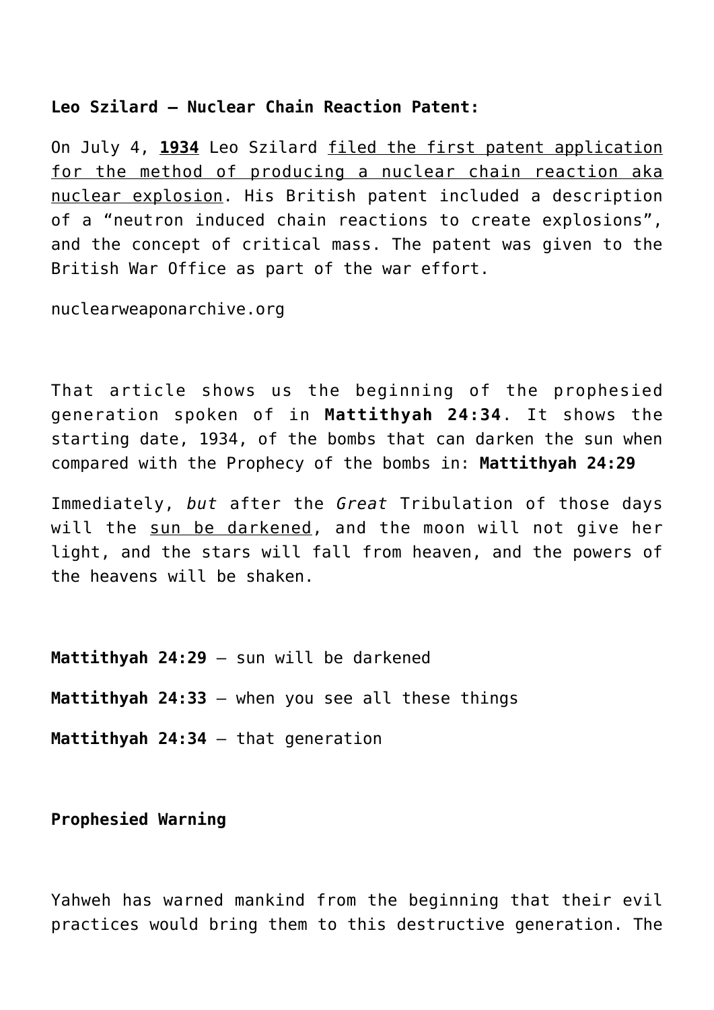# **Leo Szilard – Nuclear Chain Reaction Patent:**

On July 4, **1934** Leo Szilard filed the first patent application for the method of producing a nuclear chain reaction aka nuclear explosion. His British patent included a description of a "neutron induced chain reactions to create explosions", and the concept of critical mass. The patent was given to the British War Office as part of the war effort.

nuclearweaponarchive.org

That article shows us the beginning of the prophesied generation spoken of in **Mattithyah 24:34**. It shows the starting date, 1934, of the bombs that can darken the sun when compared with the Prophecy of the bombs in: **Mattithyah 24:29**

Immediately, *but* after the *Great* Tribulation of those days will the sun be darkened, and the moon will not give her light, and the stars will fall from heaven, and the powers of the heavens will be shaken.

**Mattithyah 24:29** – sun will be darkened

**Mattithyah 24:33** – when you see all these things

**Mattithyah 24:34** – that generation

**Prophesied Warning**

Yahweh has warned mankind from the beginning that their evil practices would bring them to this destructive generation. The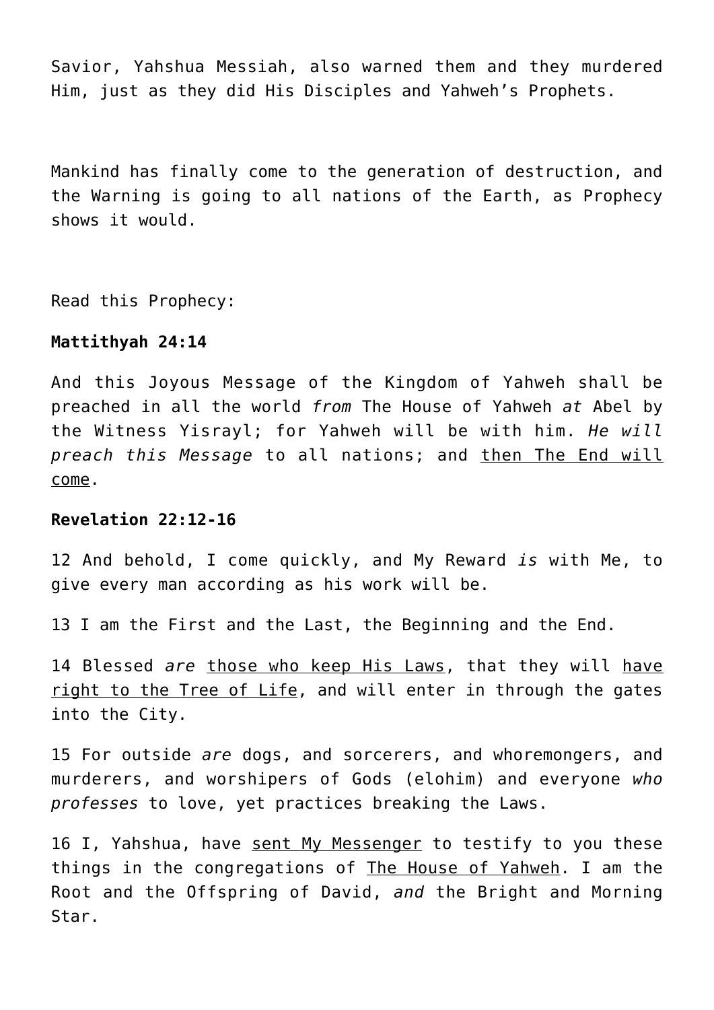Savior, Yahshua Messiah, also warned them and they murdered Him, just as they did His Disciples and Yahweh's Prophets.

Mankind has finally come to the generation of destruction, and the Warning is going to all nations of the Earth, as Prophecy shows it would.

Read this Prophecy:

#### **Mattithyah 24:14**

And this Joyous Message of the Kingdom of Yahweh shall be preached in all the world *from* The House of Yahweh *at* Abel by the Witness Yisrayl; for Yahweh will be with him. *He will preach this Message* to all nations; and then The End will come.

#### **Revelation 22:12-16**

12 And behold, I come quickly, and My Reward *is* with Me, to give every man according as his work will be.

13 I am the First and the Last, the Beginning and the End.

14 Blessed *are* those who keep His Laws, that they will have right to the Tree of Life, and will enter in through the gates into the City.

15 For outside *are* dogs, and sorcerers, and whoremongers, and murderers, and worshipers of Gods (elohim) and everyone *who professes* to love, yet practices breaking the Laws.

16 I, Yahshua, have sent My Messenger to testify to you these things in the congregations of The House of Yahweh. I am the Root and the Offspring of David, *and* the Bright and Morning Star.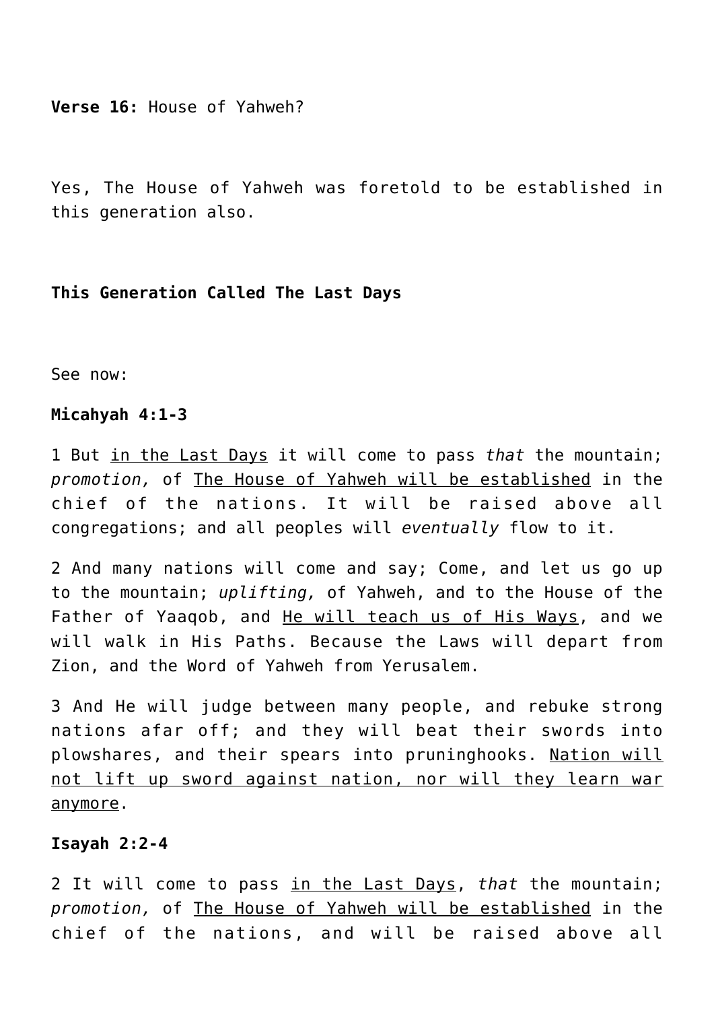**Verse 16:** House of Yahweh?

Yes, The House of Yahweh was foretold to be established in this generation also.

#### **This Generation Called The Last Days**

See now:

#### **Micahyah 4:1-3**

1 But in the Last Days it will come to pass *that* the mountain; *promotion,* of The House of Yahweh will be established in the chief of the nations. It will be raised above all congregations; and all peoples will *eventually* flow to it.

2 And many nations will come and say; Come, and let us go up to the mountain; *uplifting,* of Yahweh, and to the House of the Father of Yaaqob, and He will teach us of His Ways, and we will walk in His Paths. Because the Laws will depart from Zion, and the Word of Yahweh from Yerusalem.

3 And He will judge between many people, and rebuke strong nations afar off; and they will beat their swords into plowshares, and their spears into pruninghooks. Nation will not lift up sword against nation, nor will they learn war anymore.

#### **Isayah 2:2-4**

2 It will come to pass in the Last Days, *that* the mountain; *promotion,* of The House of Yahweh will be established in the chief of the nations, and will be raised above all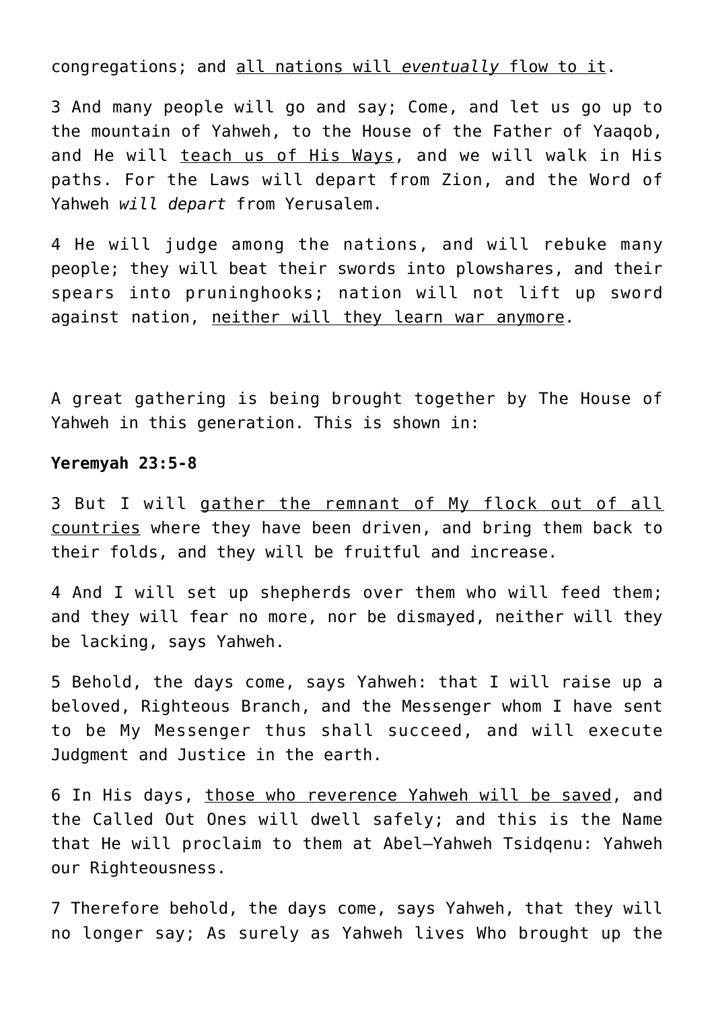congregations; and all nations will *eventually* flow to it.

3 And many people will go and say; Come, and let us go up to the mountain of Yahweh, to the House of the Father of Yaaqob, and He will teach us of His Ways, and we will walk in His paths. For the Laws will depart from Zion, and the Word of Yahweh *will depart* from Yerusalem.

4 He will judge among the nations, and will rebuke many people; they will beat their swords into plowshares, and their spears into pruninghooks; nation will not lift up sword against nation, neither will they learn war anymore.

A great gathering is being brought together by The House of Yahweh in this generation. This is shown in:

#### **Yeremyah 23:5-8**

3 But I will gather the remnant of My flock out of all countries where they have been driven, and bring them back to their folds, and they will be fruitful and increase.

4 And I will set up shepherds over them who will feed them; and they will fear no more, nor be dismayed, neither will they be lacking, says Yahweh.

5 Behold, the days come, says Yahweh: that I will raise up a beloved, Righteous Branch, and the Messenger whom I have sent to be My Messenger thus shall succeed, and will execute Judgment and Justice in the earth.

6 In His days, those who reverence Yahweh will be saved, and the Called Out Ones will dwell safely; and this is the Name that He will proclaim to them at Abel–Yahweh Tsidqenu: Yahweh our Righteousness.

7 Therefore behold, the days come, says Yahweh, that they will no longer say; As surely as Yahweh lives Who brought up the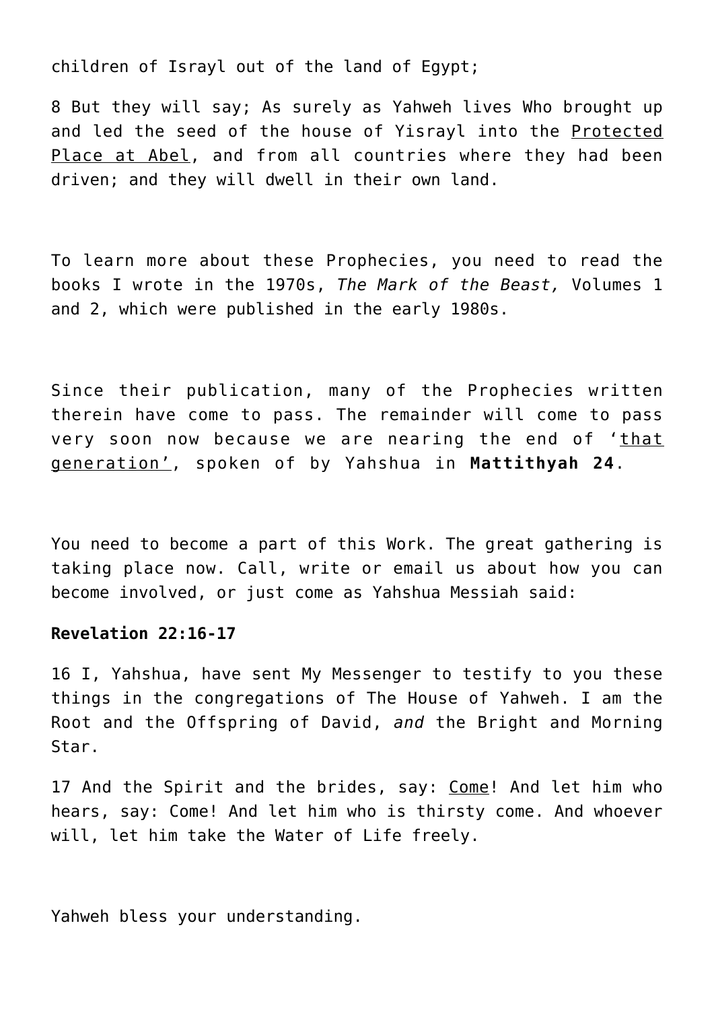children of Israyl out of the land of Egypt;

8 But they will say; As surely as Yahweh lives Who brought up and led the seed of the house of Yisrayl into the Protected Place at Abel, and from all countries where they had been driven; and they will dwell in their own land.

To learn more about these Prophecies, you need to read the books I wrote in the 1970s, *The Mark of the Beast,* Volumes 1 and 2, which were published in the early 1980s.

Since their publication, many of the Prophecies written therein have come to pass. The remainder will come to pass very soon now because we are nearing the end of 'that generation', spoken of by Yahshua in **Mattithyah 24**.

You need to become a part of this Work. The great gathering is taking place now. Call, write or email us about how you can become involved, or just come as Yahshua Messiah said:

## **Revelation 22:16-17**

16 I, Yahshua, have sent My Messenger to testify to you these things in the congregations of The House of Yahweh. I am the Root and the Offspring of David, *and* the Bright and Morning Star.

17 And the Spirit and the brides, say: Come! And let him who hears, say: Come! And let him who is thirsty come. And whoever will, let him take the Water of Life freely.

Yahweh bless your understanding.